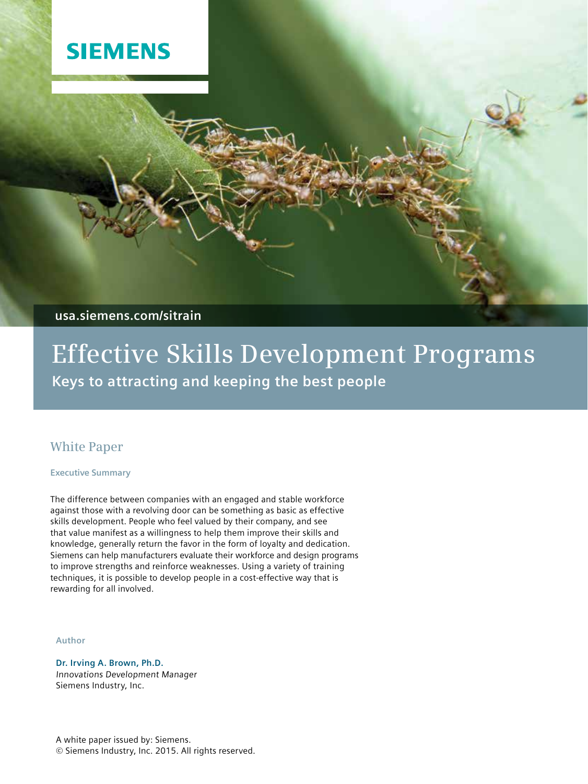

**usa.siemens.com/sitrain**

# **Effective Skills Development Programs Keys to attracting and keeping the best people**

## **White Paper**

**Executive Summary**

The difference between companies with an engaged and stable workforce against those with a revolving door can be something as basic as effective skills development. People who feel valued by their company, and see that value manifest as a willingness to help them improve their skills and knowledge, generally return the favor in the form of loyalty and dedication. Siemens can help manufacturers evaluate their workforce and design programs to improve strengths and reinforce weaknesses. Using a variety of training techniques, it is possible to develop people in a cost-effective way that is rewarding for all involved.

#### **Author**

**Dr. Irving A. Brown, Ph.D.** Innovations Development Manager Siemens Industry, Inc.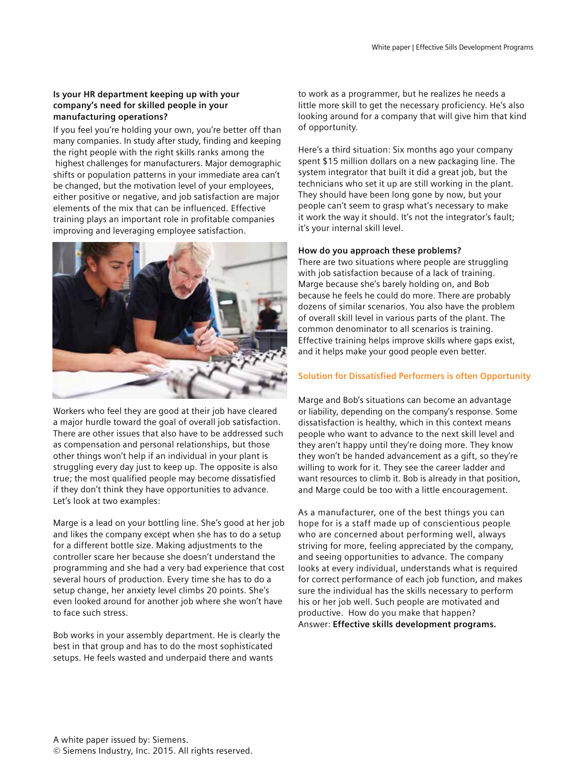### **Is your HR department keeping up with your company's need for skilled people in your manufacturing operations?**

If you feel you're holding your own, you're better off than many companies. In study after study, finding and keeping the right people with the right skills ranks among the highest challenges for manufacturers. Major demographic shifts or population patterns in your immediate area can't be changed, but the motivation level of your employees, either positive or negative, and job satisfaction are major elements of the mix that can be influenced. Effective training plays an important role in profitable companies improving and leveraging employee satisfaction.



Workers who feel they are good at their job have cleared a major hurdle toward the goal of overall job satisfaction. There are other issues that also have to be addressed such as compensation and personal relationships, but those other things won't help if an individual in your plant is struggling every day just to keep up. The opposite is also true; the most qualified people may become dissatisfied if they don't think they have opportunities to advance. Let's look at two examples:

Marge is a lead on your bottling line. She's good at her job and likes the company except when she has to do a setup for a different bottle size. Making adjustments to the controller scare her because she doesn't understand the programming and she had a very bad experience that cost several hours of production. Every time she has to do a setup change, her anxiety level climbs 20 points. She's even looked around for another job where she won't have to face such stress.

Bob works in your assembly department. He is clearly the best in that group and has to do the most sophisticated setups. He feels wasted and underpaid there and wants

to work as a programmer, but he realizes he needs a little more skill to get the necessary proficiency. He's also looking around for a company that will give him that kind of opportunity.

Here's a third situation: Six months ago your company spent \$15 million dollars on a new packaging line. The system integrator that built it did a great job, but the technicians who set it up are still working in the plant. They should have been long gone by now, but your people can't seem to grasp what's necessary to make it work the way it should. It's not the integrator's fault; it's your internal skill level.

#### **How do you approach these problems?**

There are two situations where people are struggling with job satisfaction because of a lack of training. Marge because she's barely holding on, and Bob because he feels he could do more. There are probably dozens of similar scenarios. You also have the problem of overall skill level in various parts of the plant. The common denominator to all scenarios is training. Effective training helps improve skills where gaps exist, and it helps make your good people even better.

#### **Solution for Dissatisfied Performers is often Opportunity**

Marge and Bob's situations can become an advantage or liability, depending on the company's response. Some dissatisfaction is healthy, which in this context means people who want to advance to the next skill level and they aren't happy until they're doing more. They know they won't be handed advancement as a gift, so they're willing to work for it. They see the career ladder and want resources to climb it. Bob is already in that position, and Marge could be too with a little encouragement.

As a manufacturer, one of the best things you can hope for is a staff made up of conscientious people who are concerned about performing well, always striving for more, feeling appreciated by the company, and seeing opportunities to advance. The company looks at every individual, understands what is required for correct performance of each job function, and makes sure the individual has the skills necessary to perform his or her job well. Such people are motivated and productive. How do you make that happen? Answer: **Effective skills development programs.**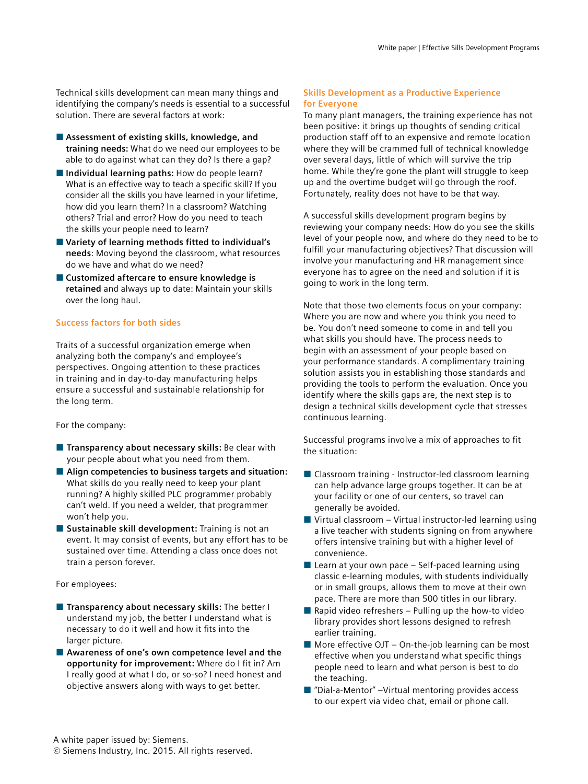Technical skills development can mean many things and identifying the company's needs is essential to a successful solution. There are several factors at work:

- Assessment of existing skills, knowledge, and **training needs:** What do we need our employees to be able to do against what can they do? Is there a gap?
- **Individual learning paths:** How do people learn? What is an effective way to teach a specific skill? If you consider all the skills you have learned in your lifetime, how did you learn them? In a classroom? Watching others? Trial and error? How do you need to teach the skills your people need to learn?
- Variety of learning methods fitted to individual's **needs**: Moving beyond the classroom, what resources do we have and what do we need?
- Customized aftercare to ensure knowledge is **retained** and always up to date: Maintain your skills over the long haul.

#### **Success factors for both sides**

Traits of a successful organization emerge when analyzing both the company's and employee's perspectives. Ongoing attention to these practices in training and in day-to-day manufacturing helps ensure a successful and sustainable relationship for the long term.

#### For the company:

- **Extending Transparency about necessary skills:** Be clear with your people about what you need from them.
- Align competencies to business targets and situation: What skills do you really need to keep your plant running? A highly skilled PLC programmer probably can't weld. If you need a welder, that programmer won't help you.
- Sustainable skill development: Training is not an event. It may consist of events, but any effort has to be sustained over time. Attending a class once does not train a person forever.

#### For employees:

- **Transparency about necessary skills:** The better I understand my job, the better I understand what is necessary to do it well and how it fits into the larger picture.
- Awareness of one's own competence level and the **opportunity for improvement:** Where do I fit in? Am I really good at what I do, or so-so? I need honest and objective answers along with ways to get better.

#### **Skills Development as a Productive Experience for Everyone**

To many plant managers, the training experience has not been positive: it brings up thoughts of sending critical production staff off to an expensive and remote location where they will be crammed full of technical knowledge over several days, little of which will survive the trip home. While they're gone the plant will struggle to keep up and the overtime budget will go through the roof. Fortunately, reality does not have to be that way.

A successful skills development program begins by reviewing your company needs: How do you see the skills level of your people now, and where do they need to be to fulfill your manufacturing objectives? That discussion will involve your manufacturing and HR management since everyone has to agree on the need and solution if it is going to work in the long term.

Note that those two elements focus on your company: Where you are now and where you think you need to be. You don't need someone to come in and tell you what skills you should have. The process needs to begin with an assessment of your people based on your performance standards. A complimentary training solution assists you in establishing those standards and providing the tools to perform the evaluation. Once you identify where the skills gaps are, the next step is to design a technical skills development cycle that stresses continuous learning.

Successful programs involve a mix of approaches to fit the situation:

- $\blacksquare$  Classroom training Instructor-led classroom learning can help advance large groups together. It can be at your facility or one of our centers, so travel can generally be avoided.
- $\blacksquare$  Virtual classroom Virtual instructor-led learning using a live teacher with students signing on from anywhere offers intensive training but with a higher level of convenience.
- $\blacksquare$  Learn at your own pace Self-paced learning using classic e-learning modules, with students individually or in small groups, allows them to move at their own pace. There are more than 500 titles in our library.
- $\blacksquare$  Rapid video refreshers Pulling up the how-to video library provides short lessons designed to refresh earlier training.
- $\blacksquare$  More effective OJT On-the-job learning can be most effective when you understand what specific things people need to learn and what person is best to do the teaching.
- $\blacksquare$  "Dial-a-Mentor" –Virtual mentoring provides access to our expert via video chat, email or phone call.